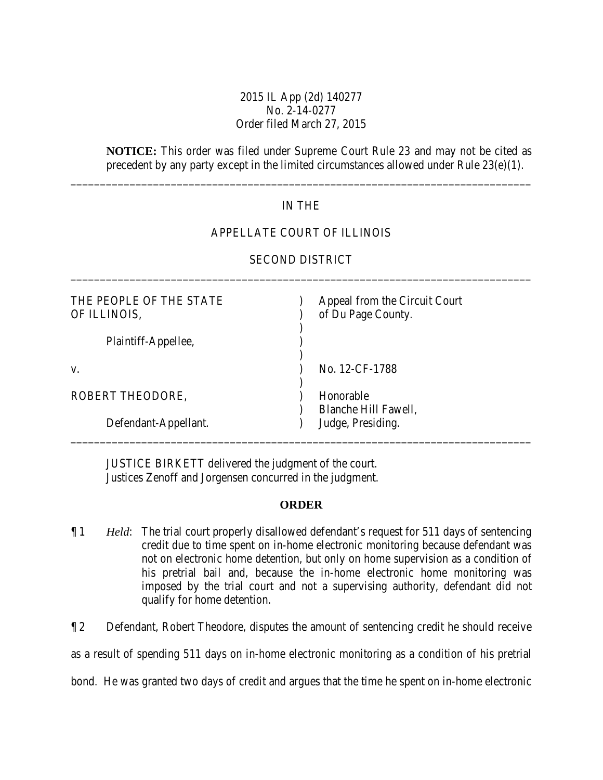# 2015 IL App (2d) 140277 No. 2-14-0277 Order filed March 27, 2015

**NOTICE:** This order was filed under Supreme Court Rule 23 and may not be cited as precedent by any party except in the limited circumstances allowed under Rule 23(e)(1).

## IN THE

\_\_\_\_\_\_\_\_\_\_\_\_\_\_\_\_\_\_\_\_\_\_\_\_\_\_\_\_\_\_\_\_\_\_\_\_\_\_\_\_\_\_\_\_\_\_\_\_\_\_\_\_\_\_\_\_\_\_\_\_\_\_\_\_\_\_\_\_\_\_\_\_\_\_\_\_\_\_

# APPELLATE COURT OF ILLINOIS

| THE PEOPLE OF THE STATE<br>OF ILLINOIS, | Appeal from the Circuit Court<br>of Du Page County. |
|-----------------------------------------|-----------------------------------------------------|
| Plaintiff-Appellee,                     |                                                     |
| V.                                      | No. 12-CF-1788                                      |
| ROBERT THEODORE,                        | Honorable<br>Blanche Hill Fawell,                   |
| Defendant-Appellant.                    | Judge, Presiding.                                   |

# SECOND DISTRICT \_\_\_\_\_\_\_\_\_\_\_\_\_\_\_\_\_\_\_\_\_\_\_\_\_\_\_\_\_\_\_\_\_\_\_\_\_\_\_\_\_\_\_\_\_\_\_\_\_\_\_\_\_\_\_\_\_\_\_\_\_\_\_\_\_\_\_\_\_\_\_\_\_\_\_\_\_\_

JUSTICE BIRKETT delivered the judgment of the court. Justices Zenoff and Jorgensen concurred in the judgment.

#### **ORDER**

¶ 1 *Held*: The trial court properly disallowed defendant's request for 511 days of sentencing credit due to time spent on in-home electronic monitoring because defendant was not on electronic home detention, but only on home supervision as a condition of his pretrial bail and, because the in-home electronic home monitoring was imposed by the trial court and not a supervising authority, defendant did not qualify for home detention.

¶ 2 Defendant, Robert Theodore, disputes the amount of sentencing credit he should receive

as a result of spending 511 days on in-home electronic monitoring as a condition of his pretrial

bond. He was granted two days of credit and argues that the time he spent on in-home electronic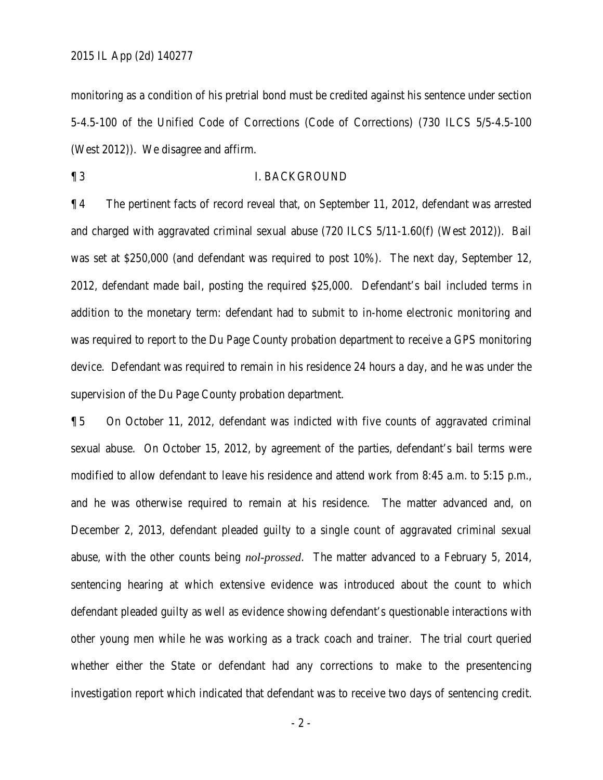monitoring as a condition of his pretrial bond must be credited against his sentence under section 5-4.5-100 of the Unified Code of Corrections (Code of Corrections) (730 ILCS 5/5-4.5-100 (West 2012)). We disagree and affirm.

¶ 3 I. BACKGROUND

¶ 4 The pertinent facts of record reveal that, on September 11, 2012, defendant was arrested and charged with aggravated criminal sexual abuse (720 ILCS 5/11-1.60(f) (West 2012)). Bail was set at \$250,000 (and defendant was required to post 10%). The next day, September 12, 2012, defendant made bail, posting the required \$25,000. Defendant's bail included terms in addition to the monetary term: defendant had to submit to in-home electronic monitoring and was required to report to the Du Page County probation department to receive a GPS monitoring device. Defendant was required to remain in his residence 24 hours a day, and he was under the supervision of the Du Page County probation department.

¶ 5 On October 11, 2012, defendant was indicted with five counts of aggravated criminal sexual abuse. On October 15, 2012, by agreement of the parties, defendant's bail terms were modified to allow defendant to leave his residence and attend work from 8:45 a.m. to 5:15 p.m., and he was otherwise required to remain at his residence. The matter advanced and, on December 2, 2013, defendant pleaded guilty to a single count of aggravated criminal sexual abuse, with the other counts being *nol-prossed*. The matter advanced to a February 5, 2014, sentencing hearing at which extensive evidence was introduced about the count to which defendant pleaded guilty as well as evidence showing defendant's questionable interactions with other young men while he was working as a track coach and trainer. The trial court queried whether either the State or defendant had any corrections to make to the presentencing investigation report which indicated that defendant was to receive two days of sentencing credit.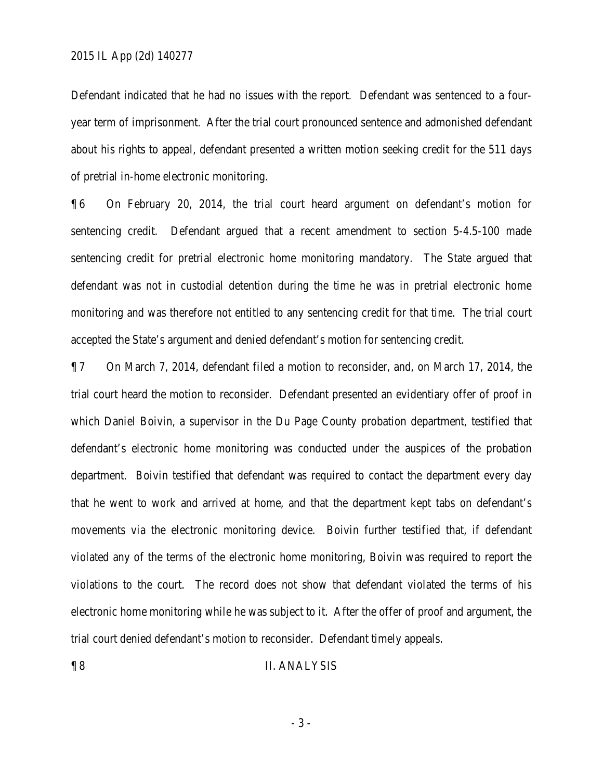#### 2015 IL App (2d) 140277

Defendant indicated that he had no issues with the report. Defendant was sentenced to a fouryear term of imprisonment. After the trial court pronounced sentence and admonished defendant about his rights to appeal, defendant presented a written motion seeking credit for the 511 days of pretrial in-home electronic monitoring.

¶ 6 On February 20, 2014, the trial court heard argument on defendant's motion for sentencing credit. Defendant argued that a recent amendment to section 5-4.5-100 made sentencing credit for pretrial electronic home monitoring mandatory. The State argued that defendant was not in custodial detention during the time he was in pretrial electronic home monitoring and was therefore not entitled to any sentencing credit for that time. The trial court accepted the State's argument and denied defendant's motion for sentencing credit.

¶ 7 On March 7, 2014, defendant filed a motion to reconsider, and, on March 17, 2014, the trial court heard the motion to reconsider. Defendant presented an evidentiary offer of proof in which Daniel Boivin, a supervisor in the Du Page County probation department, testified that defendant's electronic home monitoring was conducted under the auspices of the probation department. Boivin testified that defendant was required to contact the department every day that he went to work and arrived at home, and that the department kept tabs on defendant's movements via the electronic monitoring device. Boivin further testified that, if defendant violated any of the terms of the electronic home monitoring, Boivin was required to report the violations to the court. The record does not show that defendant violated the terms of his electronic home monitoring while he was subject to it. After the offer of proof and argument, the trial court denied defendant's motion to reconsider. Defendant timely appeals.

### ¶ 8 II. ANALYSIS

- 3 -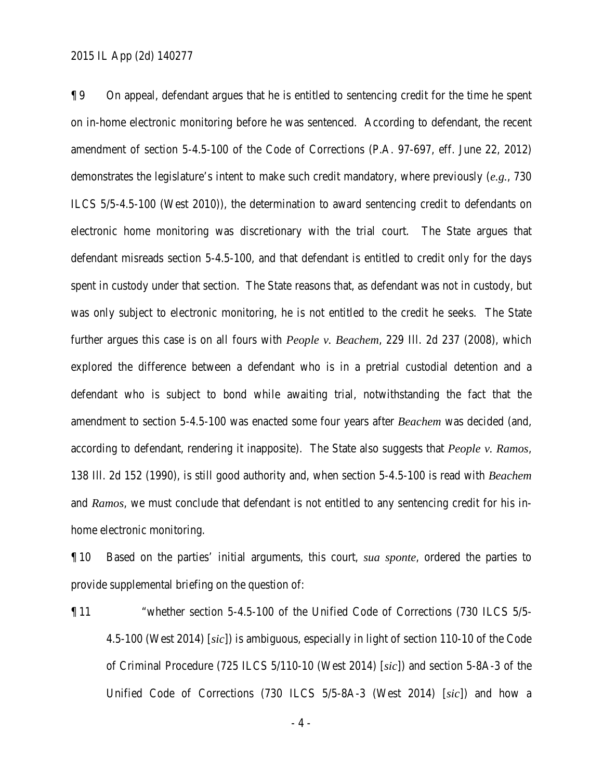¶ 9 On appeal, defendant argues that he is entitled to sentencing credit for the time he spent on in-home electronic monitoring before he was sentenced. According to defendant, the recent amendment of section 5-4.5-100 of the Code of Corrections (P.A. 97-697, eff. June 22, 2012) demonstrates the legislature's intent to make such credit mandatory, where previously (*e.g.*, 730 ILCS 5/5-4.5-100 (West 2010)), the determination to award sentencing credit to defendants on electronic home monitoring was discretionary with the trial court. The State argues that defendant misreads section 5-4.5-100, and that defendant is entitled to credit only for the days spent in custody under that section. The State reasons that, as defendant was not in custody, but was only subject to electronic monitoring, he is not entitled to the credit he seeks. The State further argues this case is on all fours with *People v. Beachem*, 229 Ill. 2d 237 (2008), which explored the difference between a defendant who is in a pretrial custodial detention and a defendant who is subject to bond while awaiting trial, notwithstanding the fact that the amendment to section 5-4.5-100 was enacted some four years after *Beachem* was decided (and, according to defendant, rendering it inapposite). The State also suggests that *People v. Ramos*, 138 Ill. 2d 152 (1990), is still good authority and, when section 5-4.5-100 is read with *Beachem* and *Ramos*, we must conclude that defendant is not entitled to any sentencing credit for his inhome electronic monitoring.

¶ 10 Based on the parties' initial arguments, this court, *sua sponte*, ordered the parties to provide supplemental briefing on the question of:

¶ 11 "whether section 5-4.5-100 of the Unified Code of Corrections (730 ILCS 5/5- 4.5-100 (West 2014) [*sic*]) is ambiguous, especially in light of section 110-10 of the Code of Criminal Procedure (725 ILCS 5/110-10 (West 2014) [*sic*]) and section 5-8A-3 of the Unified Code of Corrections (730 ILCS 5/5-8A-3 (West 2014) [*sic*]) and how a

- 4 -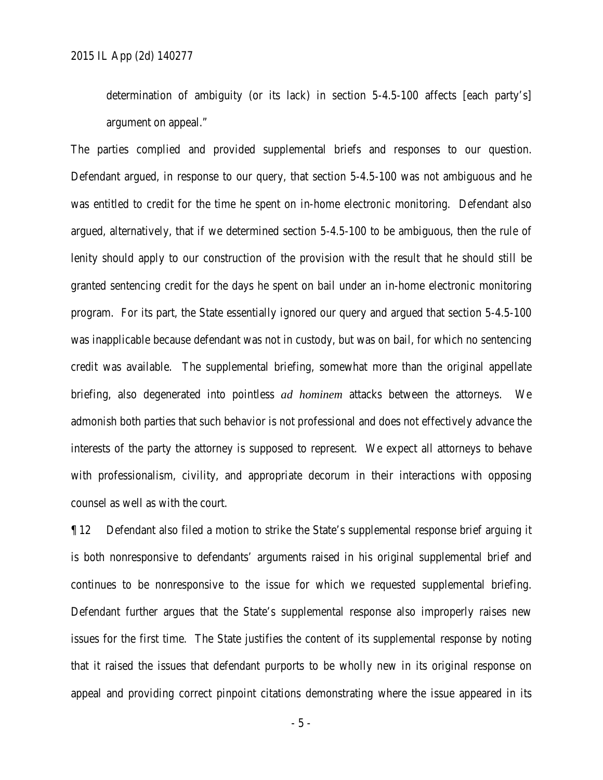determination of ambiguity (or its lack) in section 5-4.5-100 affects [each party's] argument on appeal."

The parties complied and provided supplemental briefs and responses to our question. Defendant argued, in response to our query, that section 5-4.5-100 was not ambiguous and he was entitled to credit for the time he spent on in-home electronic monitoring. Defendant also argued, alternatively, that if we determined section 5-4.5-100 to be ambiguous, then the rule of lenity should apply to our construction of the provision with the result that he should still be granted sentencing credit for the days he spent on bail under an in-home electronic monitoring program. For its part, the State essentially ignored our query and argued that section 5-4.5-100 was inapplicable because defendant was not in custody, but was on bail, for which no sentencing credit was available. The supplemental briefing, somewhat more than the original appellate briefing, also degenerated into pointless *ad hominem* attacks between the attorneys. We admonish both parties that such behavior is not professional and does not effectively advance the interests of the party the attorney is supposed to represent. We expect all attorneys to behave with professionalism, civility, and appropriate decorum in their interactions with opposing counsel as well as with the court.

¶ 12 Defendant also filed a motion to strike the State's supplemental response brief arguing it is both nonresponsive to defendants' arguments raised in his original supplemental brief and continues to be nonresponsive to the issue for which we requested supplemental briefing. Defendant further argues that the State's supplemental response also improperly raises new issues for the first time. The State justifies the content of its supplemental response by noting that it raised the issues that defendant purports to be wholly new in its original response on appeal and providing correct pinpoint citations demonstrating where the issue appeared in its

- 5 -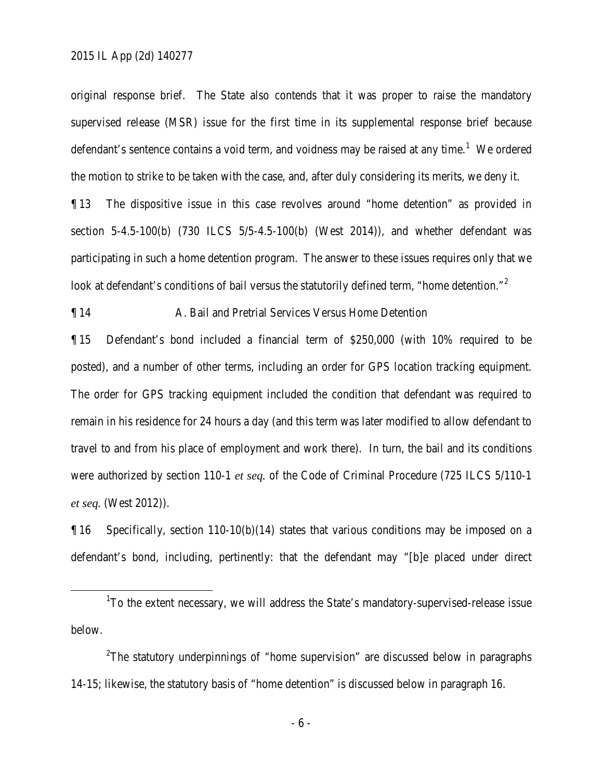original response brief. The State also contends that it was proper to raise the mandatory supervised release (MSR) issue for the first time in its supplemental response brief because defendant's sentence contains a void term, and voidness may be raised at any time.<sup>1</sup> We ordered the motion to strike to be taken with the case, and, after duly considering its merits, we deny it.

¶ 13 The dispositive issue in this case revolves around "home detention" as provided in section 5-4.5-100(b) (730 ILCS 5/5-4.5-100(b) (West 2014)), and whether defendant was participating in such a home detention program. The answer to these issues requires only that we look at defendant's conditions of bail versus the statutorily defined term, "home detention."<sup>2</sup>

¶ 14 A. Bail and Pretrial Services Versus Home Detention

¶ 15 Defendant's bond included a financial term of \$250,000 (with 10% required to be posted), and a number of other terms, including an order for GPS location tracking equipment. The order for GPS tracking equipment included the condition that defendant was required to remain in his residence for 24 hours a day (and this term was later modified to allow defendant to travel to and from his place of employment and work there). In turn, the bail and its conditions were authorized by section 110-1 *et seq.* of the Code of Criminal Procedure (725 ILCS 5/110-1 *et seq.* (West 2012)).

 $\P$ 16 Specifically, section 110-10(b)(14) states that various conditions may be imposed on a defendant's bond, including, pertinently: that the defendant may "[b]e placed under direct

<sup>2</sup>The statutory underpinnings of "home supervision" are discussed below in paragraphs 14-15; likewise, the statutory basis of "home detention" is discussed below in paragraph 16.

- 6 -

<sup>&</sup>lt;u>1</u> <sup>1</sup>To the extent necessary, we will address the State's mandatory-supervised-release issue below.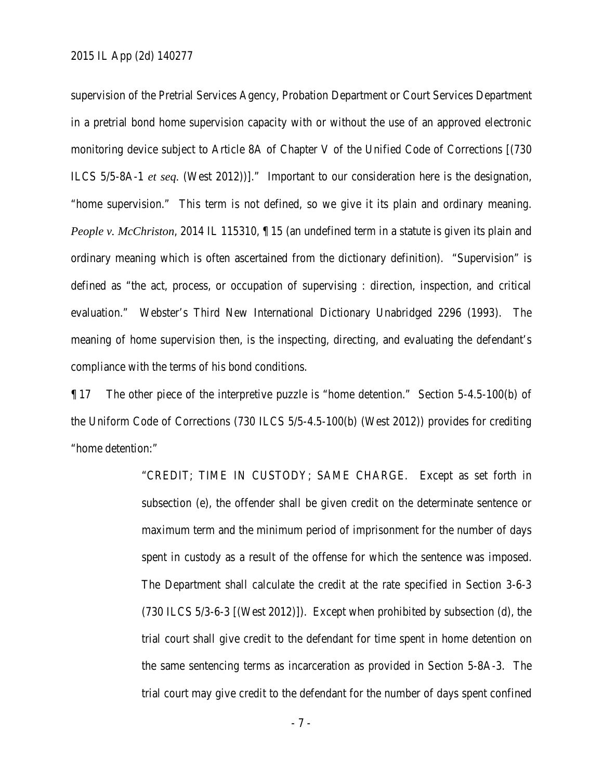supervision of the Pretrial Services Agency, Probation Department or Court Services Department in a pretrial bond home supervision capacity with or without the use of an approved electronic monitoring device subject to Article 8A of Chapter V of the Unified Code of Corrections [(730 ILCS 5/5-8A-1 *et seq.* (West 2012))]." Important to our consideration here is the designation, "home supervision." This term is not defined, so we give it its plain and ordinary meaning. *People v. McChriston*, 2014 IL 115310,  $\P$  15 (an undefined term in a statute is given its plain and ordinary meaning which is often ascertained from the dictionary definition). "Supervision" is defined as "the act, process, or occupation of supervising : direction, inspection, and critical evaluation." Webster's Third New International Dictionary Unabridged 2296 (1993). The meaning of home supervision then, is the inspecting, directing, and evaluating the defendant's compliance with the terms of his bond conditions.

¶ 17 The other piece of the interpretive puzzle is "home detention." Section 5-4.5-100(b) of the Uniform Code of Corrections (730 ILCS 5/5-4.5-100(b) (West 2012)) provides for crediting "home detention:"

> "CREDIT; TIME IN CUSTODY; SAME CHARGE. Except as set forth in subsection (e), the offender shall be given credit on the determinate sentence or maximum term and the minimum period of imprisonment for the number of days spent in custody as a result of the offense for which the sentence was imposed. The Department shall calculate the credit at the rate specified in Section 3-6-3 (730 ILCS 5/3-6-3 [(West 2012)]). Except when prohibited by subsection (d), the trial court shall give credit to the defendant for time spent in home detention on the same sentencing terms as incarceration as provided in Section 5-8A-3. The trial court may give credit to the defendant for the number of days spent confined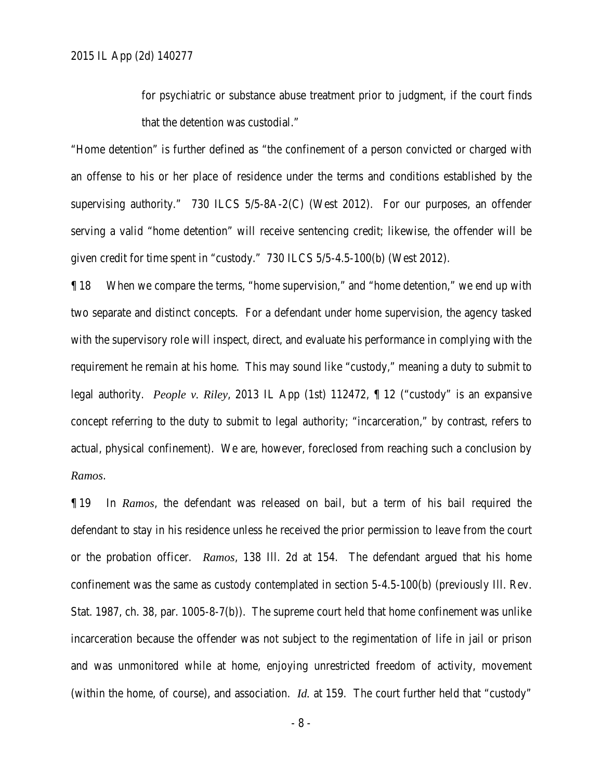for psychiatric or substance abuse treatment prior to judgment, if the court finds that the detention was custodial."

"Home detention" is further defined as "the confinement of a person convicted or charged with an offense to his or her place of residence under the terms and conditions established by the supervising authority." 730 ILCS 5/5-8A-2(C) (West 2012). For our purposes, an offender serving a valid "home detention" will receive sentencing credit; likewise, the offender will be given credit for time spent in "custody." 730 ILCS 5/5-4.5-100(b) (West 2012).

¶ 18 When we compare the terms, "home supervision," and "home detention," we end up with two separate and distinct concepts. For a defendant under home supervision, the agency tasked with the supervisory role will inspect, direct, and evaluate his performance in complying with the requirement he remain at his home. This may sound like "custody," meaning a duty to submit to legal authority. *People v. Riley*, 2013 IL App (1st) 112472, ¶ 12 ("custody" is an expansive concept referring to the duty to submit to legal authority; "incarceration," by contrast, refers to actual, physical confinement). We are, however, foreclosed from reaching such a conclusion by *Ramos*.

¶ 19 In *Ramos*, the defendant was released on bail, but a term of his bail required the defendant to stay in his residence unless he received the prior permission to leave from the court or the probation officer. *Ramos*, 138 Ill. 2d at 154. The defendant argued that his home confinement was the same as custody contemplated in section 5-4.5-100(b) (previously Ill. Rev. Stat. 1987, ch. 38, par. 1005-8-7(b)). The supreme court held that home confinement was unlike incarceration because the offender was not subject to the regimentation of life in jail or prison and was unmonitored while at home, enjoying unrestricted freedom of activity, movement (within the home, of course), and association. *Id.* at 159. The court further held that "custody"

- 8 -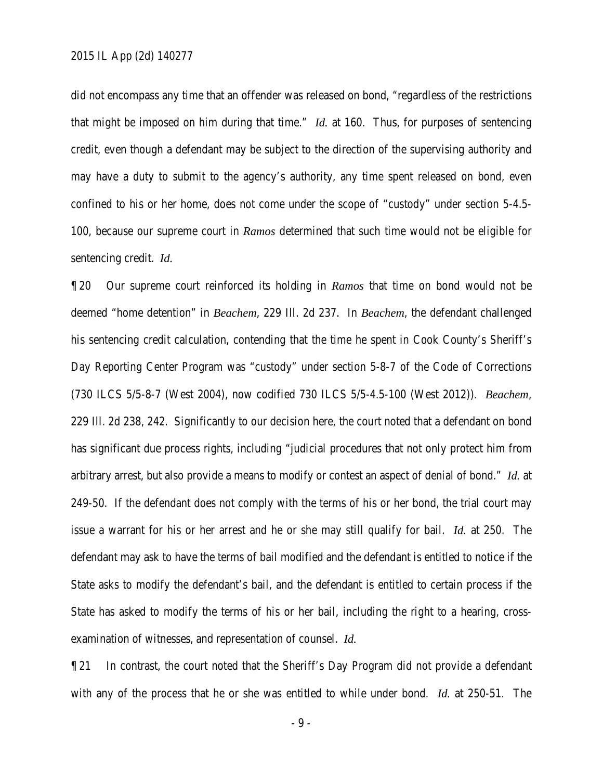did not encompass any time that an offender was released on bond, "regardless of the restrictions that might be imposed on him during that time." *Id.* at 160. Thus, for purposes of sentencing credit, even though a defendant may be subject to the direction of the supervising authority and may have a duty to submit to the agency's authority, any time spent released on bond, even confined to his or her home, does not come under the scope of "custody" under section 5-4.5- 100, because our supreme court in *Ramos* determined that such time would not be eligible for sentencing credit. *Id.*

¶ 20 Our supreme court reinforced its holding in *Ramos* that time on bond would not be deemed "home detention" in *Beachem*, 229 Ill. 2d 237. In *Beachem*, the defendant challenged his sentencing credit calculation, contending that the time he spent in Cook County's Sheriff's Day Reporting Center Program was "custody" under section 5-8-7 of the Code of Corrections (730 ILCS 5/5-8-7 (West 2004), now codified 730 ILCS 5/5-4.5-100 (West 2012)). *Beachem*, 229 Ill. 2d 238, 242. Significantly to our decision here, the court noted that a defendant on bond has significant due process rights, including "judicial procedures that not only protect him from arbitrary arrest, but also provide a means to modify or contest an aspect of denial of bond." *Id.* at 249-50. If the defendant does not comply with the terms of his or her bond, the trial court may issue a warrant for his or her arrest and he or she may still qualify for bail. *Id.* at 250. The defendant may ask to have the terms of bail modified and the defendant is entitled to notice if the State asks to modify the defendant's bail, and the defendant is entitled to certain process if the State has asked to modify the terms of his or her bail, including the right to a hearing, crossexamination of witnesses, and representation of counsel. *Id.*

¶ 21 In contrast, the court noted that the Sheriff's Day Program did not provide a defendant with any of the process that he or she was entitled to while under bond. *Id.* at 250-51. The

- 9 -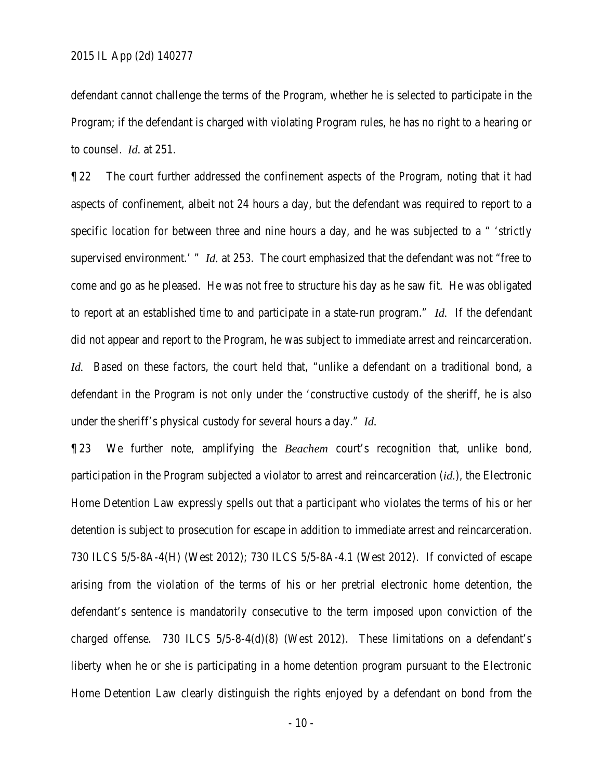defendant cannot challenge the terms of the Program, whether he is selected to participate in the Program; if the defendant is charged with violating Program rules, he has no right to a hearing or to counsel. *Id.* at 251.

¶ 22 The court further addressed the confinement aspects of the Program, noting that it had aspects of confinement, albeit not 24 hours a day, but the defendant was required to report to a specific location for between three and nine hours a day, and he was subjected to a " 'strictly supervised environment.' " *Id.* at 253. The court emphasized that the defendant was not "free to come and go as he pleased. He was not free to structure his day as he saw fit. He was obligated to report at an established time to and participate in a state-run program." *Id.* If the defendant did not appear and report to the Program, he was subject to immediate arrest and reincarceration. *Id.* Based on these factors, the court held that, "unlike a defendant on a traditional bond, a defendant in the Program is not only under the 'constructive custody of the sheriff, he is also under the sheriff's physical custody for several hours a day." *Id.*

¶ 23 We further note, amplifying the *Beachem* court's recognition that, unlike bond, participation in the Program subjected a violator to arrest and reincarceration (*id.*), the Electronic Home Detention Law expressly spells out that a participant who violates the terms of his or her detention is subject to prosecution for escape in addition to immediate arrest and reincarceration. 730 ILCS 5/5-8A-4(H) (West 2012); 730 ILCS 5/5-8A-4.1 (West 2012). If convicted of escape arising from the violation of the terms of his or her pretrial electronic home detention, the defendant's sentence is mandatorily consecutive to the term imposed upon conviction of the charged offense. 730 ILCS 5/5-8-4(d)(8) (West 2012). These limitations on a defendant's liberty when he or she is participating in a home detention program pursuant to the Electronic Home Detention Law clearly distinguish the rights enjoyed by a defendant on bond from the

- 10 -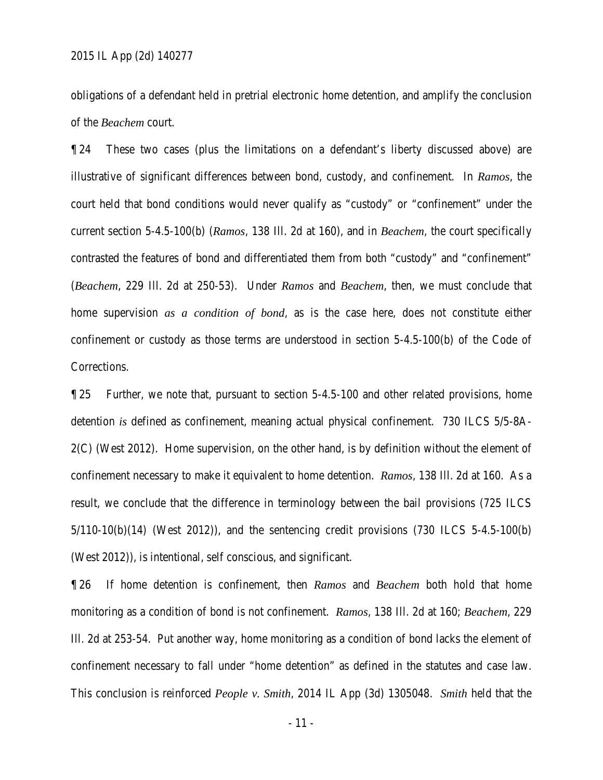obligations of a defendant held in pretrial electronic home detention, and amplify the conclusion of the *Beachem* court.

¶ 24 These two cases (plus the limitations on a defendant's liberty discussed above) are illustrative of significant differences between bond, custody, and confinement. In *Ramos*, the court held that bond conditions would never qualify as "custody" or "confinement" under the current section 5-4.5-100(b) (*Ramos*, 138 Ill. 2d at 160), and in *Beachem*, the court specifically contrasted the features of bond and differentiated them from both "custody" and "confinement" (*Beachem*, 229 Ill. 2d at 250-53). Under *Ramos* and *Beachem*, then, we must conclude that home supervision *as a condition of bond*, as is the case here, does not constitute either confinement or custody as those terms are understood in section 5-4.5-100(b) of the Code of Corrections.

¶ 25 Further, we note that, pursuant to section 5-4.5-100 and other related provisions, home detention *is* defined as confinement, meaning actual physical confinement. 730 ILCS 5/5-8A-2(C) (West 2012). Home supervision, on the other hand, is by definition without the element of confinement necessary to make it equivalent to home detention. *Ramos*, 138 Ill. 2d at 160. As a result, we conclude that the difference in terminology between the bail provisions (725 ILCS 5/110-10(b)(14) (West 2012)), and the sentencing credit provisions (730 ILCS 5-4.5-100(b) (West 2012)), is intentional, self conscious, and significant.

¶ 26 If home detention is confinement, then *Ramos* and *Beachem* both hold that home monitoring as a condition of bond is not confinement. *Ramos*, 138 Ill. 2d at 160; *Beachem*, 229 Ill. 2d at 253-54. Put another way, home monitoring as a condition of bond lacks the element of confinement necessary to fall under "home detention" as defined in the statutes and case law. This conclusion is reinforced *People v. Smith*, 2014 IL App (3d) 1305048. *Smith* held that the

- 11 -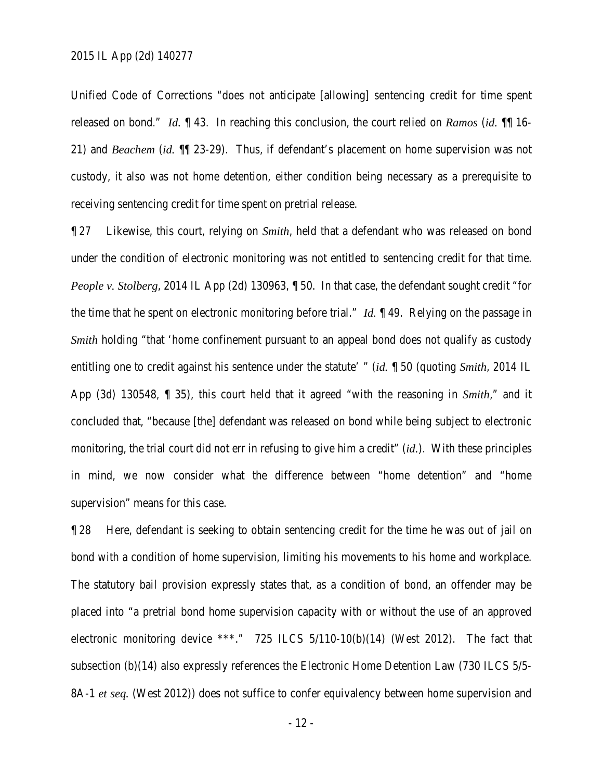Unified Code of Corrections "does not anticipate [allowing] sentencing credit for time spent released on bond." *Id.* ¶ 43. In reaching this conclusion, the court relied on *Ramos* (*id.* ¶¶ 16- 21) and *Beachem* (*id.* ¶¶ 23-29). Thus, if defendant's placement on home supervision was not custody, it also was not home detention, either condition being necessary as a prerequisite to receiving sentencing credit for time spent on pretrial release.

¶ 27 Likewise, this court, relying on *Smith*, held that a defendant who was released on bond under the condition of electronic monitoring was not entitled to sentencing credit for that time. *People v. Stolberg*, 2014 IL App (2d) 130963,  $\parallel$  50. In that case, the defendant sought credit "for the time that he spent on electronic monitoring before trial." *Id.* ¶ 49. Relying on the passage in *Smith* holding "that 'home confinement pursuant to an appeal bond does not qualify as custody entitling one to credit against his sentence under the statute' " (*id.* ¶ 50 (quoting *Smith*, 2014 IL App (3d) 130548, ¶ 35), this court held that it agreed "with the reasoning in *Smith*," and it concluded that, "because [the] defendant was released on bond while being subject to electronic monitoring, the trial court did not err in refusing to give him a credit" (*id.*). With these principles in mind, we now consider what the difference between "home detention" and "home supervision" means for this case.

¶ 28 Here, defendant is seeking to obtain sentencing credit for the time he was out of jail on bond with a condition of home supervision, limiting his movements to his home and workplace. The statutory bail provision expressly states that, as a condition of bond, an offender may be placed into "a pretrial bond home supervision capacity with or without the use of an approved electronic monitoring device \*\*\*." 725 ILCS 5/110-10(b)(14) (West 2012). The fact that subsection (b)(14) also expressly references the Electronic Home Detention Law (730 ILCS 5/5- 8A-1 *et seq.* (West 2012)) does not suffice to confer equivalency between home supervision and

- 12 -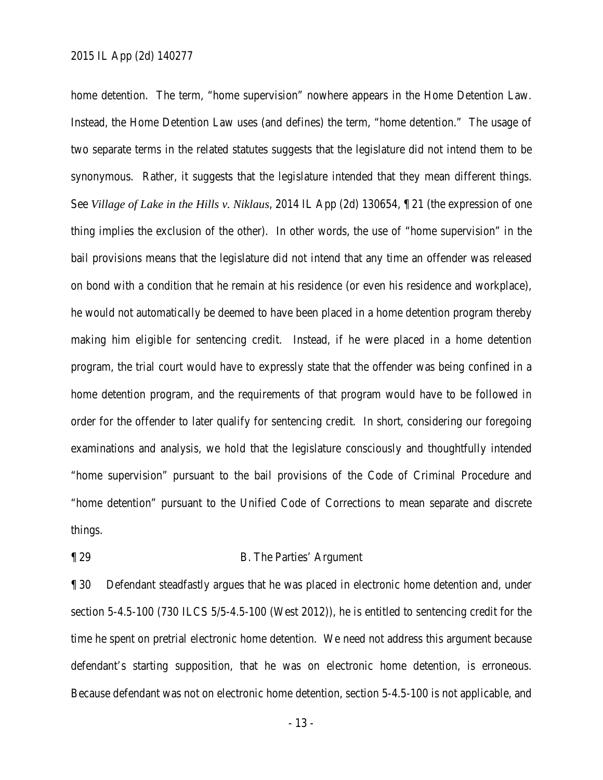home detention. The term, "home supervision" nowhere appears in the Home Detention Law. Instead, the Home Detention Law uses (and defines) the term, "home detention." The usage of two separate terms in the related statutes suggests that the legislature did not intend them to be synonymous. Rather, it suggests that the legislature intended that they mean different things. See *Village of Lake in the Hills v. Niklaus*, 2014 IL App (2d) 130654, ¶ 21 (the expression of one thing implies the exclusion of the other). In other words, the use of "home supervision" in the bail provisions means that the legislature did not intend that any time an offender was released on bond with a condition that he remain at his residence (or even his residence and workplace), he would not automatically be deemed to have been placed in a home detention program thereby making him eligible for sentencing credit. Instead, if he were placed in a home detention program, the trial court would have to expressly state that the offender was being confined in a home detention program, and the requirements of that program would have to be followed in order for the offender to later qualify for sentencing credit. In short, considering our foregoing examinations and analysis, we hold that the legislature consciously and thoughtfully intended "home supervision" pursuant to the bail provisions of the Code of Criminal Procedure and "home detention" pursuant to the Unified Code of Corrections to mean separate and discrete things.

### ¶ 29 B. The Parties' Argument

¶ 30 Defendant steadfastly argues that he was placed in electronic home detention and, under section 5-4.5-100 (730 ILCS 5/5-4.5-100 (West 2012)), he is entitled to sentencing credit for the time he spent on pretrial electronic home detention. We need not address this argument because defendant's starting supposition, that he was on electronic home detention, is erroneous. Because defendant was not on electronic home detention, section 5-4.5-100 is not applicable, and

- 13 -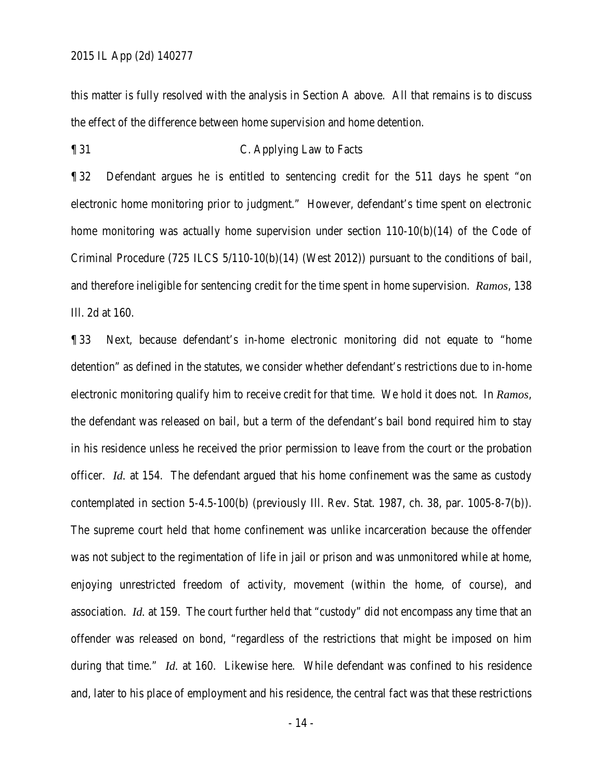this matter is fully resolved with the analysis in Section A above. All that remains is to discuss the effect of the difference between home supervision and home detention.

### ¶ 31 C. Applying Law to Facts

¶ 32 Defendant argues he is entitled to sentencing credit for the 511 days he spent "on electronic home monitoring prior to judgment." However, defendant's time spent on electronic home monitoring was actually home supervision under section  $110-10(b)(14)$  of the Code of Criminal Procedure (725 ILCS 5/110-10(b)(14) (West 2012)) pursuant to the conditions of bail, and therefore ineligible for sentencing credit for the time spent in home supervision. *Ramos*, 138 Ill. 2d at 160.

¶ 33 Next, because defendant's in-home electronic monitoring did not equate to "home detention" as defined in the statutes, we consider whether defendant's restrictions due to in-home electronic monitoring qualify him to receive credit for that time. We hold it does not. In *Ramos*, the defendant was released on bail, but a term of the defendant's bail bond required him to stay in his residence unless he received the prior permission to leave from the court or the probation officer. *Id.* at 154. The defendant argued that his home confinement was the same as custody contemplated in section 5-4.5-100(b) (previously Ill. Rev. Stat. 1987, ch. 38, par. 1005-8-7(b)). The supreme court held that home confinement was unlike incarceration because the offender was not subject to the regimentation of life in jail or prison and was unmonitored while at home, enjoying unrestricted freedom of activity, movement (within the home, of course), and association. *Id.* at 159. The court further held that "custody" did not encompass any time that an offender was released on bond, "regardless of the restrictions that might be imposed on him during that time." *Id.* at 160. Likewise here. While defendant was confined to his residence and, later to his place of employment and his residence, the central fact was that these restrictions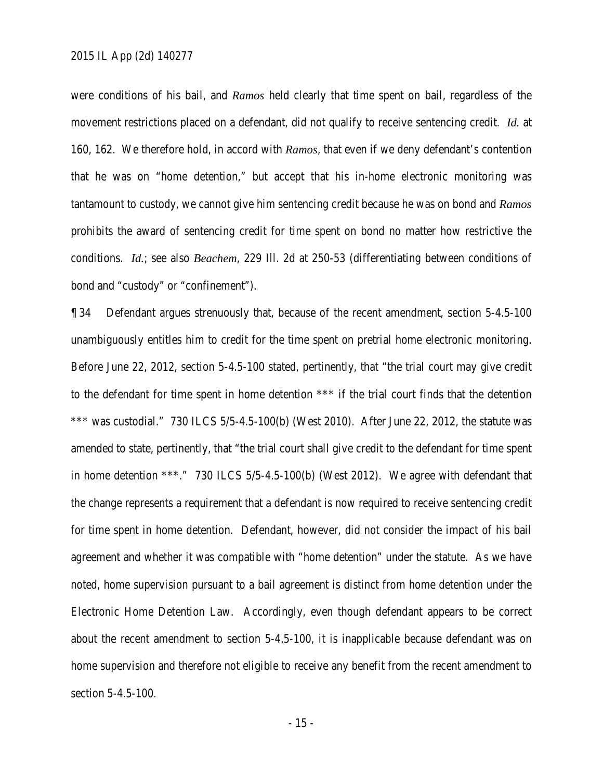were conditions of his bail, and *Ramos* held clearly that time spent on bail, regardless of the movement restrictions placed on a defendant, did not qualify to receive sentencing credit. *Id.* at 160, 162. We therefore hold, in accord with *Ramos*, that even if we deny defendant's contention that he was on "home detention," but accept that his in-home electronic monitoring was tantamount to custody, we cannot give him sentencing credit because he was on bond and *Ramos* prohibits the award of sentencing credit for time spent on bond no matter how restrictive the conditions. *Id.*; see also *Beachem*, 229 Ill. 2d at 250-53 (differentiating between conditions of bond and "custody" or "confinement").

¶ 34 Defendant argues strenuously that, because of the recent amendment, section 5-4.5-100 unambiguously entitles him to credit for the time spent on pretrial home electronic monitoring. Before June 22, 2012, section 5-4.5-100 stated, pertinently, that "the trial court may give credit to the defendant for time spent in home detention \*\*\* if the trial court finds that the detention \*\*\* was custodial." 730 ILCS 5/5-4.5-100(b) (West 2010). After June 22, 2012, the statute was amended to state, pertinently, that "the trial court shall give credit to the defendant for time spent in home detention \*\*\*." 730 ILCS 5/5-4.5-100(b) (West 2012). We agree with defendant that the change represents a requirement that a defendant is now required to receive sentencing credit for time spent in home detention. Defendant, however, did not consider the impact of his bail agreement and whether it was compatible with "home detention" under the statute. As we have noted, home supervision pursuant to a bail agreement is distinct from home detention under the Electronic Home Detention Law. Accordingly, even though defendant appears to be correct about the recent amendment to section 5-4.5-100, it is inapplicable because defendant was on home supervision and therefore not eligible to receive any benefit from the recent amendment to section 5-4.5-100.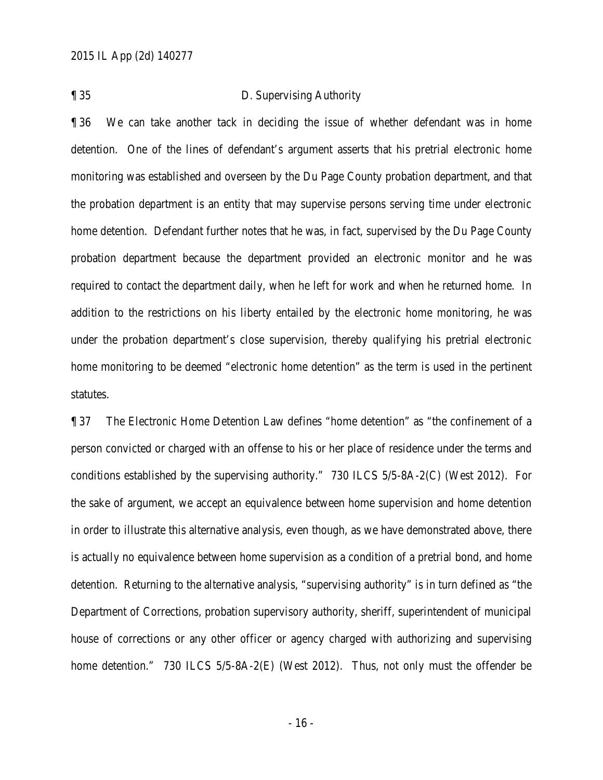¶ 35 D. Supervising Authority

¶ 36 We can take another tack in deciding the issue of whether defendant was in home detention. One of the lines of defendant's argument asserts that his pretrial electronic home monitoring was established and overseen by the Du Page County probation department, and that the probation department is an entity that may supervise persons serving time under electronic home detention. Defendant further notes that he was, in fact, supervised by the Du Page County probation department because the department provided an electronic monitor and he was required to contact the department daily, when he left for work and when he returned home. In addition to the restrictions on his liberty entailed by the electronic home monitoring, he was under the probation department's close supervision, thereby qualifying his pretrial electronic home monitoring to be deemed "electronic home detention" as the term is used in the pertinent statutes.

¶ 37 The Electronic Home Detention Law defines "home detention" as "the confinement of a person convicted or charged with an offense to his or her place of residence under the terms and conditions established by the supervising authority." 730 ILCS 5/5-8A-2(C) (West 2012). For the sake of argument, we accept an equivalence between home supervision and home detention in order to illustrate this alternative analysis, even though, as we have demonstrated above, there is actually no equivalence between home supervision as a condition of a pretrial bond, and home detention. Returning to the alternative analysis, "supervising authority" is in turn defined as "the Department of Corrections, probation supervisory authority, sheriff, superintendent of municipal house of corrections or any other officer or agency charged with authorizing and supervising home detention." 730 ILCS 5/5-8A-2(E) (West 2012). Thus, not only must the offender be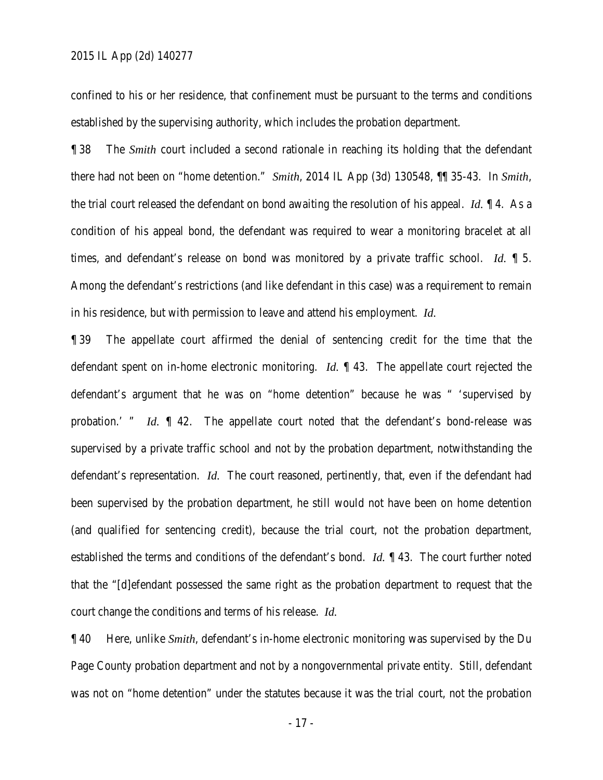#### 2015 IL App (2d) 140277

confined to his or her residence, that confinement must be pursuant to the terms and conditions established by the supervising authority, which includes the probation department.

¶ 38 The *Smith* court included a second rationale in reaching its holding that the defendant there had not been on "home detention." *Smith*, 2014 IL App (3d) 130548, ¶¶ 35-43. In *Smith*, the trial court released the defendant on bond awaiting the resolution of his appeal. *Id.* ¶ 4. As a condition of his appeal bond, the defendant was required to wear a monitoring bracelet at all times, and defendant's release on bond was monitored by a private traffic school. *Id.* ¶ 5. Among the defendant's restrictions (and like defendant in this case) was a requirement to remain in his residence, but with permission to leave and attend his employment. *Id.*

¶ 39 The appellate court affirmed the denial of sentencing credit for the time that the defendant spent on in-home electronic monitoring. *Id.* ¶ 43. The appellate court rejected the defendant's argument that he was on "home detention" because he was " 'supervised by probation.' " *Id.*  $\parallel$  42. The appellate court noted that the defendant's bond-release was supervised by a private traffic school and not by the probation department, notwithstanding the defendant's representation. *Id.* The court reasoned, pertinently, that, even if the defendant had been supervised by the probation department, he still would not have been on home detention (and qualified for sentencing credit), because the trial court, not the probation department, established the terms and conditions of the defendant's bond. *Id.* ¶ 43. The court further noted that the "[d]efendant possessed the same right as the probation department to request that the court change the conditions and terms of his release. *Id.*

¶ 40 Here, unlike *Smith*, defendant's in-home electronic monitoring was supervised by the Du Page County probation department and not by a nongovernmental private entity. Still, defendant was not on "home detention" under the statutes because it was the trial court, not the probation

- 17 -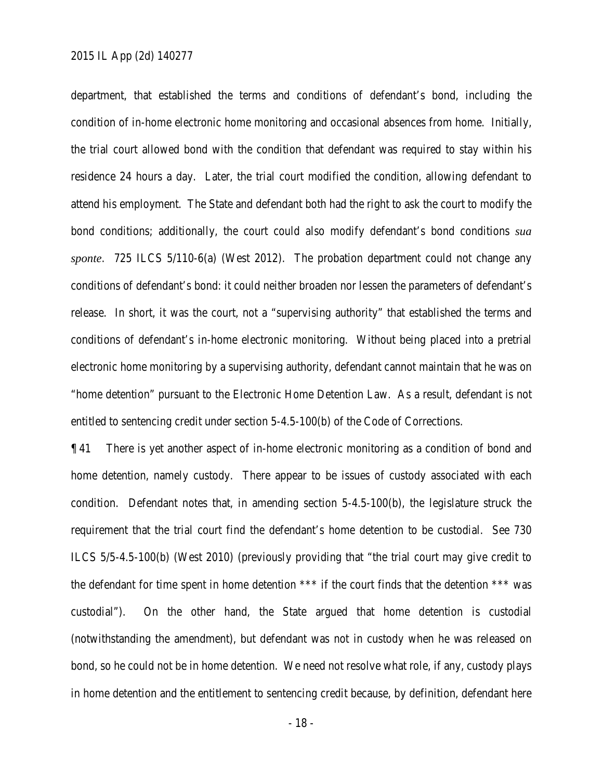department, that established the terms and conditions of defendant's bond, including the condition of in-home electronic home monitoring and occasional absences from home. Initially, the trial court allowed bond with the condition that defendant was required to stay within his residence 24 hours a day. Later, the trial court modified the condition, allowing defendant to attend his employment. The State and defendant both had the right to ask the court to modify the bond conditions; additionally, the court could also modify defendant's bond conditions *sua sponte*. 725 ILCS 5/110-6(a) (West 2012). The probation department could not change any conditions of defendant's bond: it could neither broaden nor lessen the parameters of defendant's release. In short, it was the court, not a "supervising authority" that established the terms and conditions of defendant's in-home electronic monitoring. Without being placed into a pretrial electronic home monitoring by a supervising authority, defendant cannot maintain that he was on "home detention" pursuant to the Electronic Home Detention Law. As a result, defendant is not entitled to sentencing credit under section 5-4.5-100(b) of the Code of Corrections.

¶ 41 There is yet another aspect of in-home electronic monitoring as a condition of bond and home detention, namely custody. There appear to be issues of custody associated with each condition. Defendant notes that, in amending section 5-4.5-100(b), the legislature struck the requirement that the trial court find the defendant's home detention to be custodial. See 730 ILCS 5/5-4.5-100(b) (West 2010) (previously providing that "the trial court may give credit to the defendant for time spent in home detention \*\*\* if the court finds that the detention \*\*\* was custodial"). On the other hand, the State argued that home detention is custodial (notwithstanding the amendment), but defendant was not in custody when he was released on bond, so he could not be in home detention. We need not resolve what role, if any, custody plays in home detention and the entitlement to sentencing credit because, by definition, defendant here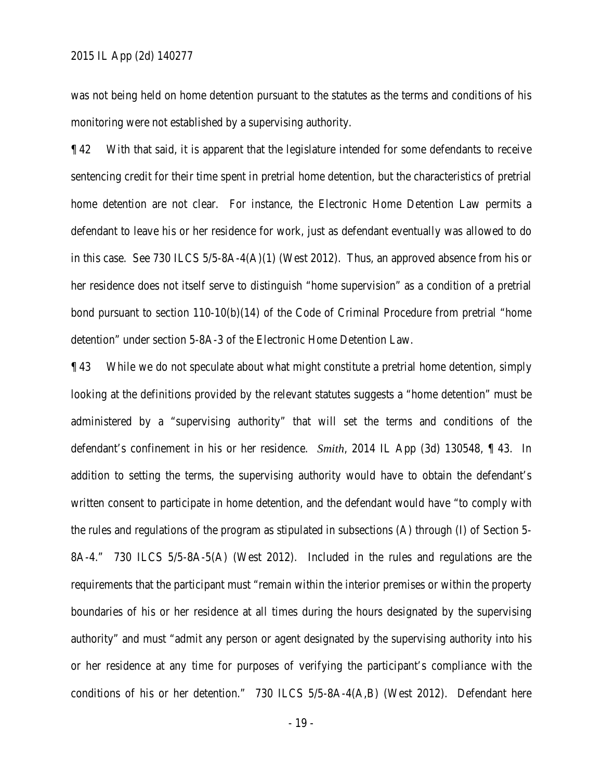was not being held on home detention pursuant to the statutes as the terms and conditions of his monitoring were not established by a supervising authority.

¶ 42 With that said, it is apparent that the legislature intended for some defendants to receive sentencing credit for their time spent in pretrial home detention, but the characteristics of pretrial home detention are not clear. For instance, the Electronic Home Detention Law permits a defendant to leave his or her residence for work, just as defendant eventually was allowed to do in this case. See 730 ILCS 5/5-8A-4(A)(1) (West 2012). Thus, an approved absence from his or her residence does not itself serve to distinguish "home supervision" as a condition of a pretrial bond pursuant to section 110-10(b)(14) of the Code of Criminal Procedure from pretrial "home detention" under section 5-8A-3 of the Electronic Home Detention Law.

¶ 43 While we do not speculate about what might constitute a pretrial home detention, simply looking at the definitions provided by the relevant statutes suggests a "home detention" must be administered by a "supervising authority" that will set the terms and conditions of the defendant's confinement in his or her residence. *Smith*, 2014 IL App (3d) 130548, ¶ 43. In addition to setting the terms, the supervising authority would have to obtain the defendant's written consent to participate in home detention, and the defendant would have "to comply with the rules and regulations of the program as stipulated in subsections (A) through (I) of Section 5- 8A-4." 730 ILCS 5/5-8A-5(A) (West 2012). Included in the rules and regulations are the requirements that the participant must "remain within the interior premises or within the property boundaries of his or her residence at all times during the hours designated by the supervising authority" and must "admit any person or agent designated by the supervising authority into his or her residence at any time for purposes of verifying the participant's compliance with the conditions of his or her detention." 730 ILCS 5/5-8A-4(A,B) (West 2012). Defendant here

- 19 -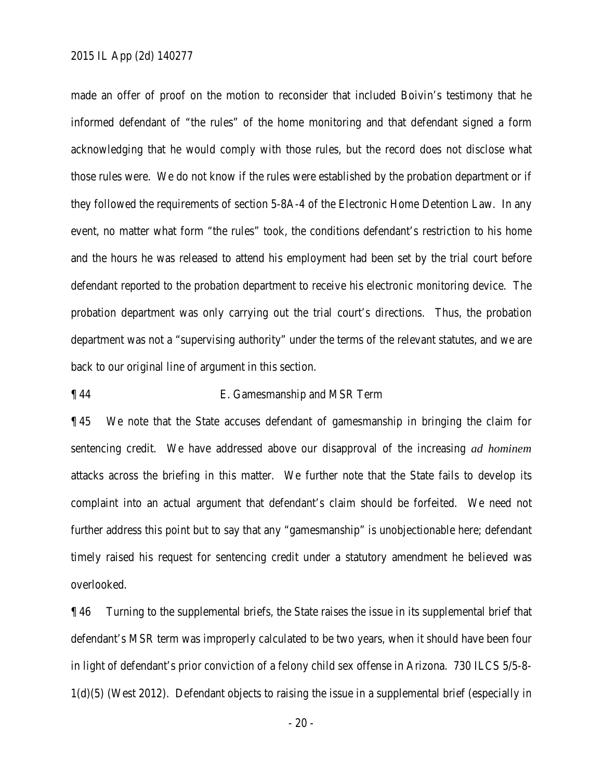made an offer of proof on the motion to reconsider that included Boivin's testimony that he informed defendant of "the rules" of the home monitoring and that defendant signed a form acknowledging that he would comply with those rules, but the record does not disclose what those rules were. We do not know if the rules were established by the probation department or if they followed the requirements of section 5-8A-4 of the Electronic Home Detention Law. In any event, no matter what form "the rules" took, the conditions defendant's restriction to his home and the hours he was released to attend his employment had been set by the trial court before defendant reported to the probation department to receive his electronic monitoring device. The probation department was only carrying out the trial court's directions. Thus, the probation department was not a "supervising authority" under the terms of the relevant statutes, and we are back to our original line of argument in this section.

### ¶ 44 E. Gamesmanship and MSR Term

¶ 45 We note that the State accuses defendant of gamesmanship in bringing the claim for sentencing credit. We have addressed above our disapproval of the increasing *ad hominem* attacks across the briefing in this matter. We further note that the State fails to develop its complaint into an actual argument that defendant's claim should be forfeited. We need not further address this point but to say that any "gamesmanship" is unobjectionable here; defendant timely raised his request for sentencing credit under a statutory amendment he believed was overlooked.

¶ 46 Turning to the supplemental briefs, the State raises the issue in its supplemental brief that defendant's MSR term was improperly calculated to be two years, when it should have been four in light of defendant's prior conviction of a felony child sex offense in Arizona. 730 ILCS 5/5-8- 1(d)(5) (West 2012). Defendant objects to raising the issue in a supplemental brief (especially in

- 20 -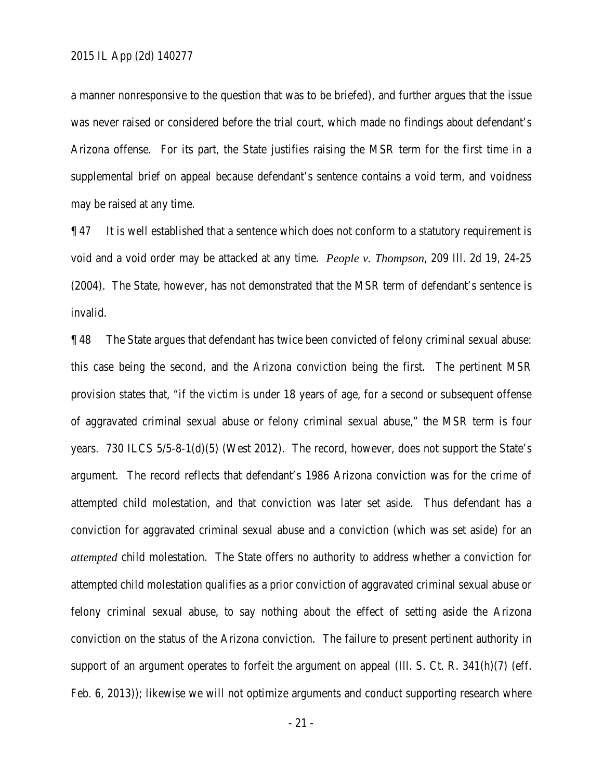a manner nonresponsive to the question that was to be briefed), and further argues that the issue was never raised or considered before the trial court, which made no findings about defendant's Arizona offense. For its part, the State justifies raising the MSR term for the first time in a supplemental brief on appeal because defendant's sentence contains a void term, and voidness may be raised at any time.

 $\P$  47 It is well established that a sentence which does not conform to a statutory requirement is void and a void order may be attacked at any time. *People v. Thompson*, 209 Ill. 2d 19, 24-25 (2004). The State, however, has not demonstrated that the MSR term of defendant's sentence is invalid.

¶ 48 The State argues that defendant has twice been convicted of felony criminal sexual abuse: this case being the second, and the Arizona conviction being the first. The pertinent MSR provision states that, "if the victim is under 18 years of age, for a second or subsequent offense of aggravated criminal sexual abuse or felony criminal sexual abuse," the MSR term is four years. 730 ILCS 5/5-8-1(d)(5) (West 2012). The record, however, does not support the State's argument. The record reflects that defendant's 1986 Arizona conviction was for the crime of attempted child molestation, and that conviction was later set aside. Thus defendant has a conviction for aggravated criminal sexual abuse and a conviction (which was set aside) for an *attempted* child molestation. The State offers no authority to address whether a conviction for attempted child molestation qualifies as a prior conviction of aggravated criminal sexual abuse or felony criminal sexual abuse, to say nothing about the effect of setting aside the Arizona conviction on the status of the Arizona conviction. The failure to present pertinent authority in support of an argument operates to forfeit the argument on appeal (Ill. S. Ct. R. 341(h)(7) (eff. Feb. 6, 2013)); likewise we will not optimize arguments and conduct supporting research where